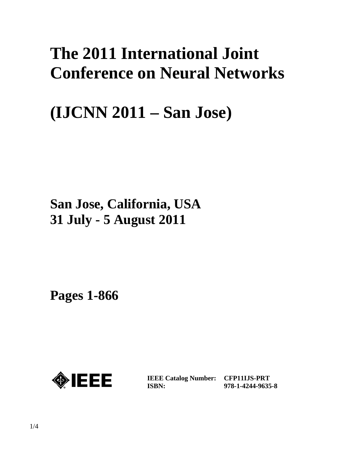# **The 2011 International Joint Conference on Neural Networks**

# **(IJCNN 2011 – San Jose)**

## **San Jose, California, USA 31 July - 5 August 2011**

**Pages 1-866** 



**IEEE Catalog Number: CFP11IJS-PRT ISBN:** 

**978-1-4244-9635-8**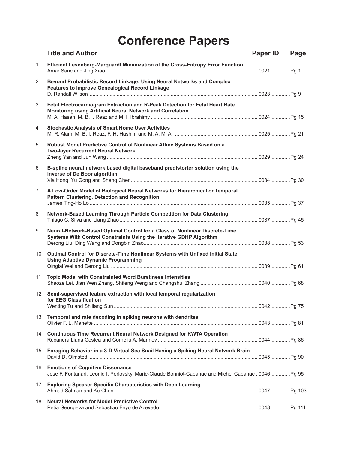|                | <b>Title and Author</b>                                                                                                                            | <b>Paper ID</b> | Page |
|----------------|----------------------------------------------------------------------------------------------------------------------------------------------------|-----------------|------|
| $\mathbf{1}$   | Efficient Levenberg-Marquardt Minimization of the Cross-Entropy Error Function                                                                     |                 |      |
| $\overline{2}$ | Beyond Probabilistic Record Linkage: Using Neural Networks and Complex<br><b>Features to Improve Genealogical Record Linkage</b>                   |                 |      |
| 3              | Fetal Electrocardiogram Extraction and R-Peak Detection for Fetal Heart Rate<br>Monitoring using Artificial Neural Network and Correlation         |                 |      |
| 4              | <b>Stochastic Analysis of Smart Home User Activities</b>                                                                                           |                 |      |
| 5              | Robust Model Predictive Control of Nonlinear Affine Systems Based on a<br><b>Two-layer Recurrent Neural Network</b>                                |                 |      |
| 6              | B-spline neural network based digital baseband predistorter solution using the<br>inverse of De Boor algorithm                                     |                 |      |
| $\overline{7}$ | A Low-Order Model of Biological Neural Networks for Hierarchical or Temporal<br><b>Pattern Clustering, Detection and Recognition</b>               |                 |      |
| 8              | Network-Based Learning Through Particle Competition for Data Clustering                                                                            |                 |      |
| 9              | Neural-Network-Based Optimal Control for a Class of Nonlinear Discrete-Time<br>Systems With Control Constraints Using the Iterative GDHP Algorithm |                 |      |
| 10             | Optimal Control for Discrete-Time Nonlinear Systems with Unfixed Initial State<br><b>Using Adaptive Dynamic Programming</b>                        |                 |      |
| 11             | <b>Topic Model with Constrainted Word Burstiness Intensities</b>                                                                                   |                 |      |
| 12             | Semi-supervised feature extraction with local temporal regularization<br>for EEG Classification                                                    |                 |      |
| 13             | Temporal and rate decoding in spiking neurons with dendrites                                                                                       |                 |      |
|                | 14 Continuous Time Recurrent Neural Network Designed for KWTA Operation                                                                            |                 |      |
| 15             | Foraging Behavior in a 3-D Virtual Sea Snail Having a Spiking Neural Network Brain                                                                 |                 |      |
|                | 16 Emotions of Cognitive Dissonance<br>Jose F. Fontanari, Leonid I. Perlovsky, Marie-Claude Bonniot-Cabanac and Michel Cabanac. 0046Pg 95          |                 |      |
| 17             | <b>Exploring Speaker-Specific Characteristics with Deep Learning</b>                                                                               |                 |      |
| 18             | <b>Neural Networks for Model Predictive Control</b>                                                                                                |                 |      |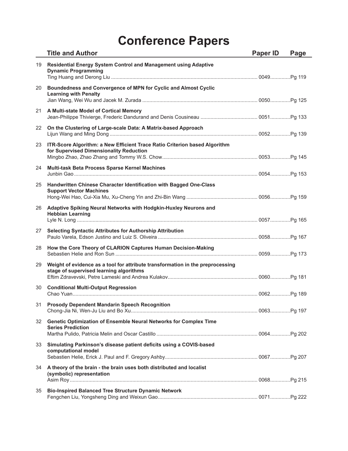|    | <b>Title and Author</b>                                                                                                   | <b>Paper ID</b> | Page |
|----|---------------------------------------------------------------------------------------------------------------------------|-----------------|------|
| 19 | Residential Energy System Control and Management using Adaptive<br><b>Dynamic Programming</b>                             |                 |      |
| 20 | Boundedness and Convergence of MPN for Cyclic and Almost Cyclic<br><b>Learning with Penalty</b>                           |                 |      |
| 21 | A Multi-state Model of Cortical Memory                                                                                    |                 |      |
| 22 | On the Clustering of Large-scale Data: A Matrix-based Approach                                                            |                 |      |
| 23 | ITR-Score Algorithm: a New Efficient Trace Ratio Criterion based Algorithm<br>for Supervised Dimensionality Reduction     |                 |      |
| 24 | Multi-task Beta Process Sparse Kernel Machines                                                                            |                 |      |
| 25 | Handwritten Chinese Character Identification with Bagged One-Class<br><b>Support Vector Machines</b>                      |                 |      |
| 26 | Adaptive Spiking Neural Networks with Hodgkin-Huxley Neurons and<br><b>Hebbian Learning</b>                               |                 |      |
| 27 | <b>Selecting Syntactic Attributes for Authorship Attribution</b>                                                          |                 |      |
| 28 | How the Core Theory of CLARION Captures Human Decision-Making                                                             |                 |      |
| 29 | Weight of evidence as a tool for attribute transformation in the preprocessing<br>stage of supervised learning algorithms |                 |      |
| 30 | <b>Conditional Multi-Output Regression</b>                                                                                |                 |      |
|    | 31 Prosody Dependent Mandarin Speech Recognition                                                                          |                 |      |
| 32 | Genetic Optimization of Ensemble Neural Networks for Complex Time<br><b>Series Prediction</b>                             |                 |      |
| 33 | Simulating Parkinson's disease patient deficits using a COVIS-based<br>computational model                                |                 |      |
| 34 | A theory of the brain - the brain uses both distributed and localist                                                      |                 |      |
|    | (symbolic) representation                                                                                                 |                 |      |
| 35 | <b>Bio-Inspired Balanced Tree Structure Dynamic Network</b>                                                               |                 |      |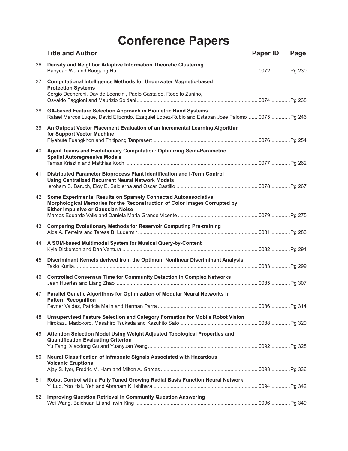|    | <b>Title and Author</b>                                                                                                                                                                    | Paper ID | Page |
|----|--------------------------------------------------------------------------------------------------------------------------------------------------------------------------------------------|----------|------|
| 36 | Density and Neighbor Adaptive Information Theoretic Clustering                                                                                                                             |          |      |
| 37 | <b>Computational Intelligence Methods for Underwater Magnetic-based</b><br><b>Protection Systems</b><br>Sergio Decherchi, Davide Leoncini, Paolo Gastaldo, Rodolfo Zunino,                 |          |      |
| 38 | GA-based Feature Selection Approach in Biometric Hand Systems<br>Rafael Marcos Luque, David Elizondo, Ezequiel Lopez-Rubio and Esteban Jose Palomo 0075Pg 246                              |          |      |
| 39 | An Outpost Vector Placement Evaluation of an Incremental Learning Algorithm<br>for Support Vector Machine                                                                                  |          |      |
| 40 | Agent Teams and Evolutionary Computation: Optimizing Semi-Parametric<br><b>Spatial Autoregressive Models</b>                                                                               |          |      |
| 41 | Distributed Parameter Bioprocess Plant Identification and I-Term Control<br><b>Using Centralized Recurrent Neural Network Models</b>                                                       |          |      |
| 42 | Some Experimental Results on Sparsely Connected Autoassociative<br>Morphological Memories for the Reconstruction of Color Images Corrupted by<br><b>Either Impulsive or Gaussian Noise</b> |          |      |
| 43 | <b>Comparing Evolutionary Methods for Reservoir Computing Pre-training</b>                                                                                                                 |          |      |
| 44 | A SOM-based Multimodal System for Musical Query-by-Content                                                                                                                                 |          |      |
| 45 | Discriminant Kernels derived from the Optimum Nonlinear Discriminant Analysis                                                                                                              |          |      |
| 46 | <b>Controlled Consensus Time for Community Detection in Complex Networks</b>                                                                                                               |          |      |
| 47 | Parallel Genetic Algorithms for Optimization of Modular Neural Networks in<br><b>Pattern Recognition</b>                                                                                   |          |      |
| 48 | Unsupervised Feature Selection and Category Formation for Mobile Robot Vision                                                                                                              |          |      |
| 49 | Attention Selection Model Using Weight Adjusted Topological Properties and<br><b>Quantification Evaluating Criterion</b>                                                                   |          |      |
| 50 | Neural Classification of Infrasonic Signals Associated with Hazardous<br><b>Volcanic Eruptions</b>                                                                                         |          |      |
| 51 | Robot Control with a Fully Tuned Growing Radial Basis Function Neural Network                                                                                                              |          |      |
| 52 | <b>Improving Question Retrieval in Community Question Answering</b>                                                                                                                        |          |      |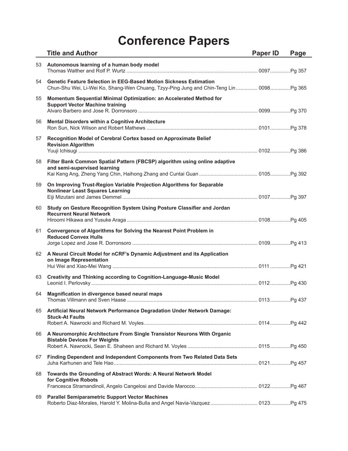|    | <b>Title and Author</b>                                                                                                                                             | <b>Paper ID</b> | Page |
|----|---------------------------------------------------------------------------------------------------------------------------------------------------------------------|-----------------|------|
| 53 | Autonomous learning of a human body model                                                                                                                           |                 |      |
| 54 | <b>Genetic Feature Selection in EEG-Based Motion Sickness Estimation</b><br>Chun-Shu Wei, Li-Wei Ko, Shang-Wen Chuang, Tzyy-Ping Jung and Chin-Teng Lin  0098Pg 365 |                 |      |
| 55 | Momentum Sequential Minimal Optimization: an Accelerated Method for<br><b>Support Vector Machine training</b>                                                       |                 |      |
| 56 | <b>Mental Disorders within a Cognitive Architecture</b>                                                                                                             |                 |      |
| 57 | Recognition Model of Cerebral Cortex based on Approximate Belief<br><b>Revision Algorithm</b>                                                                       |                 |      |
| 58 | Filter Bank Common Spatial Pattern (FBCSP) algorithm using online adaptive<br>and semi-supervised learning                                                          |                 |      |
| 59 | On Improving Trust-Region Variable Projection Algorithms for Separable<br><b>Nonlinear Least Squares Learning</b>                                                   |                 |      |
| 60 | Study on Gesture Recognition System Using Posture Classifier and Jordan<br><b>Recurrent Neural Network</b>                                                          |                 |      |
| 61 | Convergence of Algorithms for Solving the Nearest Point Problem in<br><b>Reduced Convex Hulls</b>                                                                   |                 |      |
| 62 | A Neural Circuit Model for nCRF's Dynamic Adjustment and its Application<br>on Image Representation                                                                 |                 |      |
| 63 | Creativity and Thinking according to Cognition-Language-Music Model                                                                                                 |                 |      |
| 64 | Magnification in divergence based neural maps                                                                                                                       |                 |      |
| 65 | Artificial Neural Network Performance Degradation Under Network Damage:<br><b>Stuck-At Faults</b>                                                                   |                 |      |
| 66 | A Neuromorphic Architecture From Single Transistor Neurons With Organic<br><b>Bistable Devices For Weights</b>                                                      |                 |      |
| 67 | Finding Dependent and Independent Components from Two Related Data Sets                                                                                             |                 |      |
| 68 | Towards the Grounding of Abstract Words: A Neural Network Model<br>for Cognitive Robots                                                                             |                 |      |
| 69 | <b>Parallel Semiparametric Support Vector Machines</b><br>Roberto Diaz-Morales, Harold Y. Molina-Bulla and Angel Navia-Vazquez 0123 Pg 475                          |                 |      |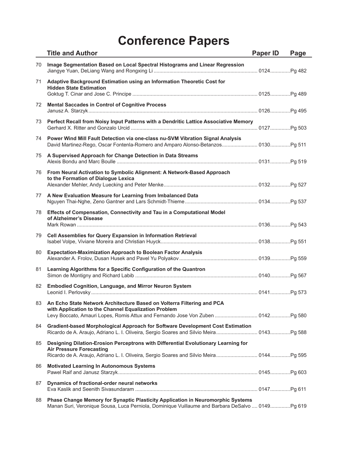|    | <b>Title and Author</b>                                                                                                                                                                                            | Paper ID | Page |
|----|--------------------------------------------------------------------------------------------------------------------------------------------------------------------------------------------------------------------|----------|------|
| 70 | Image Segmentation Based on Local Spectral Histograms and Linear Regression                                                                                                                                        |          |      |
| 71 | Adaptive Background Estimation using an Information Theoretic Cost for<br><b>Hidden State Estimation</b>                                                                                                           |          |      |
| 72 | <b>Mental Saccades in Control of Cognitive Process</b>                                                                                                                                                             |          |      |
| 73 | Perfect Recall from Noisy Input Patterns with a Dendritic Lattice Associative Memory                                                                                                                               |          |      |
| 74 | Power Wind Mill Fault Detection via one-class nu-SVM Vibration Signal Analysis                                                                                                                                     |          |      |
| 75 | A Supervised Approach for Change Detection in Data Streams                                                                                                                                                         |          |      |
| 76 | From Neural Activation to Symbolic Alignment: A Network-Based Approach<br>to the Formation of Dialogue Lexica                                                                                                      |          |      |
| 77 | A New Evaluation Measure for Learning from Imbalanced Data                                                                                                                                                         |          |      |
| 78 | Effects of Compensation, Connectivity and Tau in a Computational Model<br>of Alzheimer's Disease                                                                                                                   |          |      |
| 79 | Cell Assemblies for Query Expansion in Information Retrieval                                                                                                                                                       |          |      |
| 80 | <b>Expectation-Maximization Approach to Boolean Factor Analysis</b>                                                                                                                                                |          |      |
| 81 | Learning Algorithms for a Specific Configuration of the Quantron                                                                                                                                                   |          |      |
| 82 | <b>Embodied Cognition, Language, and Mirror Neuron System</b>                                                                                                                                                      |          |      |
| 83 | An Echo State Network Architecture Based on Volterra Filtering and PCA<br>with Application to the Channel Equalization Problem<br>Levy Boccato, Amauri Lopes, Romis Attux and Fernando Jose Von Zuben  0142 Pg 580 |          |      |
| 84 | Gradient-based Morphological Approach for Software Development Cost Estimation                                                                                                                                     |          |      |
| 85 | Designing Dilation-Erosion Perceptrons with Differential Evolutionary Learning for<br><b>Air Pressure Forecasting</b>                                                                                              |          |      |
| 86 | <b>Motivated Learning In Autonomous Systems</b>                                                                                                                                                                    |          |      |
| 87 | Dynamics of fractional-order neural networks                                                                                                                                                                       |          |      |
| 88 | Phase Change Memory for Synaptic Plasticity Application in Neuromorphic Systems<br>Manan Suri, Veronique Sousa, Luca Perniola, Dominique Vuillaume and Barbara DeSalvo  0149Pg 619                                 |          |      |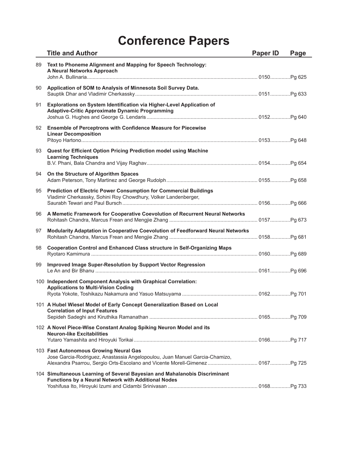|    | <b>Title and Author</b>                                                                                                                                                                                | Paper ID | Page |
|----|--------------------------------------------------------------------------------------------------------------------------------------------------------------------------------------------------------|----------|------|
| 89 | Text to Phoneme Alignment and Mapping for Speech Technology:<br>A Neural Networks Approach                                                                                                             |          |      |
| 90 | Application of SOM to Analysis of Minnesota Soil Survey Data.                                                                                                                                          |          |      |
| 91 | Explorations on System Identification via Higher-Level Application of<br><b>Adaptive-Critic Approximate Dynamic Programming</b>                                                                        |          |      |
| 92 | Ensemble of Perceptrons with Confidence Measure for Piecewise<br><b>Linear Decomposition</b>                                                                                                           |          |      |
| 93 | Quest for Efficient Option Pricing Prediction model using Machine<br><b>Learning Techniques</b>                                                                                                        |          |      |
| 94 | On the Structure of Algorithm Spaces                                                                                                                                                                   |          |      |
| 95 | Prediction of Electric Power Consumption for Commercial Buildings<br>Vladimir Cherkassky, Sohini Roy Chowdhury, Volker Landenberger,                                                                   |          |      |
| 96 | A Memetic Framework for Cooperative Coevolution of Recurrent Neural Networks                                                                                                                           |          |      |
| 97 | Modularity Adaptation in Cooperative Coevolution of Feedforward Neural Networks                                                                                                                        |          |      |
| 98 | Cooperation Control and Enhanced Class structure in Self-Organizing Maps                                                                                                                               |          |      |
| 99 | Improved Image Super-Resolution by Support Vector Regression                                                                                                                                           |          |      |
|    | 100 Independent Component Analysis with Graphical Correlation:<br><b>Applications to Multi-Vision Coding</b>                                                                                           |          |      |
|    | 101 A Hubel Wiesel Model of Early Concept Generalization Based on Local<br><b>Correlation of Input Features</b>                                                                                        |          |      |
|    | 102 A Novel Piece-Wise Constant Analog Spiking Neuron Model and its<br><b>Neuron-like Excitabilities</b>                                                                                               |          |      |
|    | 103 Fast Autonomous Growing Neural Gas<br>Jose Garcia-Rodriguez, Anastassia Angelopoulou, Juan Manuel Garcia-Chamizo,<br>Alexandra Psarrou, Sergio Orts-Escolano and Vicente Morell-Gimenez 0167Pg 725 |          |      |
|    | 104 Simultaneous Learning of Several Bayesian and Mahalanobis Discriminant<br>Functions by a Neural Network with Additional Nodes                                                                      |          |      |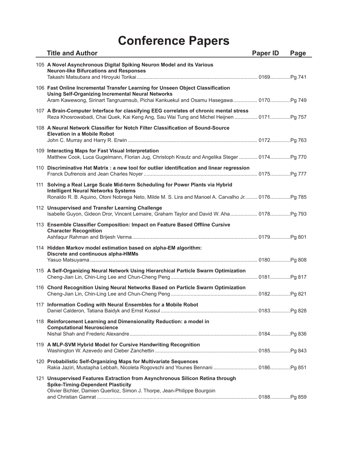| <b>Title and Author</b>                                                                                                                                                                                                           | <b>Paper ID</b> | Page |
|-----------------------------------------------------------------------------------------------------------------------------------------------------------------------------------------------------------------------------------|-----------------|------|
| 105 A Novel Asynchronous Digital Spiking Neuron Model and its Various<br><b>Neuron-like Bifurcations and Responses</b>                                                                                                            |                 |      |
| 106 Fast Online Incremental Transfer Learning for Unseen Object Classification<br><b>Using Self-Organizing Incremental Neural Networks</b><br>Aram Kawewong, Sirinart Tangruamsub, Pichai Kankuekul and Osamu Hasegawa 0170Pg 749 |                 |      |
| 107 A Brain-Computer Interface for classifying EEG correlates of chronic mental stress                                                                                                                                            |                 |      |
| 108 A Neural Network Classifier for Notch Filter Classification of Sound-Source<br><b>Elevation in a Mobile Robot</b>                                                                                                             |                 |      |
| 109 Interacting Maps for Fast Visual Interpretation<br>Matthew Cook, Luca Gugelmann, Florian Jug, Christoph Krautz and Angelika Steger  0174Pg 770                                                                                |                 |      |
| 110 Discriminative Hat Matrix : a new tool for outlier identification and linear regression                                                                                                                                       |                 |      |
| 111 Solving a Real Large Scale Mid-term Scheduling for Power Plants via Hybrid<br><b>Intelligent Neural Networks Systems</b><br>Ronaldo R. B. Aquino, Otoni Nobrega Neto, Milde M. S. Lira and Manoel A. Carvalho Jr 0176Pg 785   |                 |      |
| 112 Unsupervised and Transfer Learning Challenge<br>Isabelle Guyon, Gideon Dror, Vincent Lemaire, Graham Taylor and David W. Aha 0178 Pg 793                                                                                      |                 |      |
| 113 Ensemble Classifier Composition: Impact on Feature Based Offline Cursive<br><b>Character Recognition</b>                                                                                                                      |                 |      |
| 114 Hidden Markov model estimation based on alpha-EM algorithm:<br>Discrete and continuous alpha-HMMs                                                                                                                             |                 |      |
| 115 A Self-Organizing Neural Network Using Hierarchical Particle Swarm Optimization                                                                                                                                               |                 |      |
| 116 Chord Recognition Using Neural Networks Based on Particle Swarm Optimization                                                                                                                                                  |                 |      |
| 117 Information Coding with Neural Ensembles for a Mobile Robot                                                                                                                                                                   |                 |      |
| 118 Reinforcement Learning and Dimensionality Reduction: a model in<br><b>Computational Neuroscience</b>                                                                                                                          |                 |      |
| 119 A MLP-SVM Hybrid Model for Cursive Handwriting Recognition                                                                                                                                                                    |                 |      |
| 120 Probabilistic Self-Organizing Maps for Multivariate Sequences<br>Rakia Jaziri, Mustapha Lebbah, Nicoleta Rogovschi and Younes Bennani  0186Pg 851                                                                             |                 |      |
| 121 Unsupervised Features Extraction from Asynchronous Silicon Retina through<br><b>Spike-Timing-Dependent Plasticity</b><br>Olivier Bichler, Damien Querlioz, Simon J. Thorpe, Jean-Philippe Bourgoin                            |                 |      |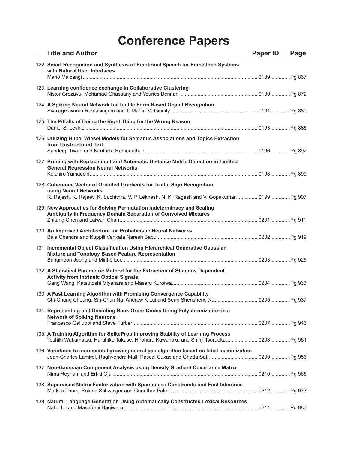| <b>Title and Author</b>                                                                                                                                                                         | <b>Paper ID</b> | Page |
|-------------------------------------------------------------------------------------------------------------------------------------------------------------------------------------------------|-----------------|------|
| 122 Smart Recognition and Synthesis of Emotional Speech for Embedded Systems<br>with Natural User Interfaces                                                                                    |                 |      |
| 123 Learning confidence exchange in Collaborative Clustering                                                                                                                                    |                 |      |
| 124 A Spiking Neural Network for Tactile Form Based Object Recognition                                                                                                                          |                 |      |
| 125 The Pitfalls of Doing the Right Thing for the Wrong Reason                                                                                                                                  |                 |      |
| 126 Utilizing Hubel Wiesel Models for Semantic Associations and Topics Extraction<br>from Unstructured Text                                                                                     |                 |      |
| 127 Pruning with Replacement and Automatic Distance Metric Detection in Limited<br><b>General Regression Neural Networks</b>                                                                    |                 |      |
| 128 Coherence Vector of Oriented Gradients for Traffic Sign Recognition<br>using Neural Networks<br>R. Rajesh, K. Rajeev, K. Suchithra, V. P. Lekhesh, N. K. Ragesh and V. Gopakumar 0199Pg 907 |                 |      |
| 129 New Approaches for Solving Permutation Indeterminacy and Scaling<br>Ambiguity in Frequency Domain Separation of Convolved Mixtures                                                          |                 |      |
| 130 An Improved Architecture for Probabilistic Neural Networks                                                                                                                                  |                 |      |
| 131 Incremental Object Classification Using Hierarchical Generative Gaussian<br>Mixture and Topology Based Feature Representation                                                               |                 |      |
| 132 A Statistical Parametric Method for the Extraction of Stimulus Dependent<br><b>Activity from Intrinsic Optical Signals</b>                                                                  |                 |      |
| 133 A Fast Learning Algorithm with Promising Convergence Capability                                                                                                                             |                 |      |
| 134 Representing and Decoding Rank Order Codes Using Polychronization in a<br><b>Network of Spiking Neurons</b>                                                                                 |                 |      |
| 135 A Training Algorithm for SpikeProp Improving Stability of Learning Process                                                                                                                  |                 |      |
| 136 Variations to incremental growing neural gas algorithm based on label maximization                                                                                                          |                 |      |
| 137 Non-Gaussian Component Analysis using Density Gradient Covariance Matrix                                                                                                                    |                 |      |
| 138 Supervised Matrix Factorization with Sparseness Constraints and Fast Inference                                                                                                              |                 |      |
| 139 Natural Language Generation Using Automatically Constructed Lexical Resources                                                                                                               |                 |      |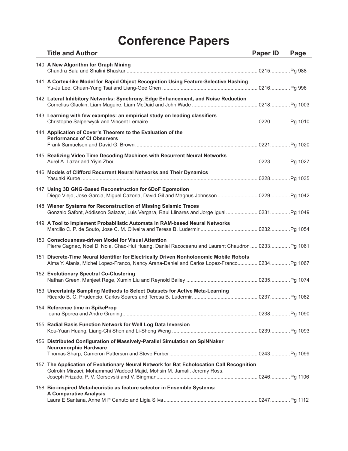| <b>Title and Author</b>                                                                                                                                                               | Paper ID | Page |
|---------------------------------------------------------------------------------------------------------------------------------------------------------------------------------------|----------|------|
| 140 A New Algorithm for Graph Mining                                                                                                                                                  |          |      |
| 141 A Cortex-like Model for Rapid Object Recognition Using Feature-Selective Hashing                                                                                                  |          |      |
| 142 Lateral Inhibitory Networks: Synchrony, Edge Enhancement, and Noise Reduction                                                                                                     |          |      |
| 143 Learning with few examples: an empirical study on leading classifiers                                                                                                             |          |      |
| 144 Application of Cover's Theorem to the Evaluation of the<br><b>Performance of CI Observers</b>                                                                                     |          |      |
| 145 Realizing Video Time Decoding Machines with Recurrent Neural Networks                                                                                                             |          |      |
| 146 Models of Clifford Recurrent Neural Networks and Their Dynamics                                                                                                                   |          |      |
| 147 Using 3D GNG-Based Reconstruction for 6DoF Egomotion                                                                                                                              |          |      |
| 148 Wiener Systems for Reconstruction of Missing Seismic Traces<br>Gonzalo Safont, Addisson Salazar, Luis Vergara, Raul Llinares and Jorge Igual 0231 Pg 1049                         |          |      |
| 149 A Tool to Implement Probabilistic Automata in RAM-based Neural Networks                                                                                                           |          |      |
| 150 Consciousness-driven Model for Visual Attention<br>Pierre Cagnac, Noel Di Noia, Chao-Hui Huang, Daniel Racoceanu and Laurent Chaudron 0233Pg 1061                                 |          |      |
| 151 Discrete-Time Neural Identifier for Electrically Driven Nonholonomic Mobile Robots<br>Alma Y. Alanis, Michel Lopez-Franco, Nancy Arana-Daniel and Carlos Lopez-Franco 0234Pg 1067 |          |      |
| 152 Evolutionary Spectral Co-Clustering                                                                                                                                               |          |      |
| 153 Uncertainty Sampling Methods to Select Datasets for Active Meta-Learning                                                                                                          |          |      |
| 154 Reference time in SpikeProp                                                                                                                                                       |          |      |
| 155 Radial Basis Function Network for Well Log Data Inversion                                                                                                                         |          |      |
| 156 Distributed Configuration of Massively-Parallel Simulation on SpiNNaker<br><b>Neuromorphic Hardware</b>                                                                           |          |      |
| 157 The Application of Evolutionary Neural Network for Bat Echolocation Call Recognition<br>Golrokh Mirzaei, Mohammad Wadood Majid, Mohsin M. Jamali, Jeremy Ross,                    |          |      |
| 158 Bio-inspired Meta-heuristic as feature selector in Ensemble Systems:<br><b>A Comparative Analysis</b>                                                                             |          |      |
|                                                                                                                                                                                       |          |      |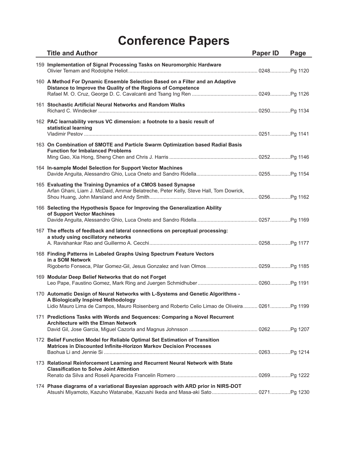| <b>Title and Author</b>                                                                                                                                                                                                | Paper ID | Page |
|------------------------------------------------------------------------------------------------------------------------------------------------------------------------------------------------------------------------|----------|------|
| 159 Implementation of Signal Processing Tasks on Neuromorphic Hardware                                                                                                                                                 |          |      |
| 160 A Method For Dynamic Ensemble Selection Based on a Filter and an Adaptive<br>Distance to Improve the Quality of the Regions of Competence                                                                          |          |      |
| 161 Stochastic Artificial Neural Networks and Random Walks                                                                                                                                                             |          |      |
| 162 PAC learnability versus VC dimension: a footnote to a basic result of<br>statistical learning                                                                                                                      |          |      |
| 163 On Combination of SMOTE and Particle Swarm Optimization based Radial Basis<br><b>Function for Imbalanced Problems</b>                                                                                              |          |      |
| 164 In-sample Model Selection for Support Vector Machines                                                                                                                                                              |          |      |
| 165 Evaluating the Training Dynamics of a CMOS based Synapse<br>Arfan Ghani, Liam J. McDaid, Ammar Belatreche, Peter Kelly, Steve Hall, Tom Dowrick,                                                                   |          |      |
| 166 Selecting the Hypothesis Space for Improving the Generalization Ability<br>of Support Vector Machines                                                                                                              |          |      |
| 167 The effects of feedback and lateral connections on perceptual processing:<br>a study using oscillatory networks                                                                                                    |          |      |
| 168 Finding Patterns in Labeled Graphs Using Spectrum Feature Vectors<br>in a SOM Network<br>Rigoberto Fonseca, Pilar Gomez-Gil, Jesus Gonzalez and Ivan Olmos 0259Pg 1185                                             |          |      |
| 169 Modular Deep Belief Networks that do not Forget                                                                                                                                                                    |          |      |
| 170 Automatic Design of Neural Networks with L-Systems and Genetic Algorithms -<br>A Biologically Inspired Methodology<br>Lidio Mauro Lima de Campos, Mauro Roisenberg and Roberto Celio Limao de Oliveira 0261Pg 1199 |          |      |
| 171 Predictions Tasks with Words and Sequences: Comparing a Novel Recurrent<br><b>Architecture with the Elman Network</b>                                                                                              |          |      |
| 172 Belief Function Model for Reliable Optimal Set Estimation of Transition<br>Matrices in Discounted Infinite-Horizon Markov Decision Processes                                                                       |          |      |
| 173 Relational Reinforcement Learning and Recurrent Neural Network with State<br><b>Classification to Solve Joint Attention</b>                                                                                        |          |      |
| 174 Phase diagrams of a variational Bayesian approach with ARD prior in NIRS-DOT<br>Atsushi Miyamoto, Kazuho Watanabe, Kazushi Ikeda and Masa-aki Sato 0271Pg 1230                                                     |          |      |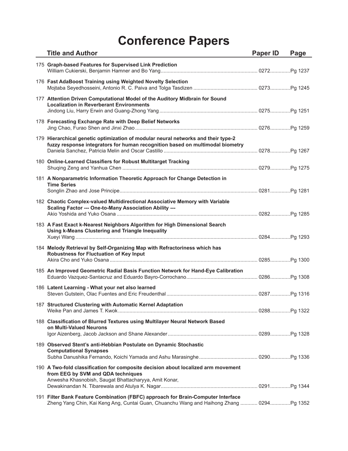| <b>Title and Author</b>                                                                                                                                                          | <b>Paper ID</b> | Page |
|----------------------------------------------------------------------------------------------------------------------------------------------------------------------------------|-----------------|------|
| 175 Graph-based Features for Supervised Link Prediction                                                                                                                          |                 |      |
| 176 Fast AdaBoost Training using Weighted Novelty Selection                                                                                                                      |                 |      |
| 177 Attention Driven Computational Model of the Auditory Midbrain for Sound<br><b>Localization in Reverberant Environments</b>                                                   |                 |      |
| 178 Forecasting Exchange Rate with Deep Belief Networks                                                                                                                          |                 |      |
| 179 Hierarchical genetic optimization of modular neural networks and their type-2<br>fuzzy response integrators for human recognition based on multimodal biometry               |                 |      |
| 180 Online-Learned Classifiers for Robust Multitarget Tracking                                                                                                                   |                 |      |
| 181 A Nonparametric Information Theoretic Approach for Change Detection in<br><b>Time Series</b>                                                                                 |                 |      |
| 182 Chaotic Complex-valued Multidirectional Associative Memory with Variable<br>Scaling Factor --- One-to-Many Association Ability ---                                           |                 |      |
| 183 A Fast Exact k-Nearest Neighbors Algorithm for High Dimensional Search<br>Using k-Means Clustering and Triangle Inequality                                                   |                 |      |
| 184 Melody Retrieval by Self-Organizing Map with Refractoriness which has<br>Robustness for Fluctuation of Key Input                                                             |                 |      |
| 185 An Improved Geometric Radial Basis Function Network for Hand-Eye Calibration                                                                                                 |                 |      |
| 186 Latent Learning - What your net also learned                                                                                                                                 |                 |      |
| 187 Structured Clustering with Automatic Kernel Adaptation                                                                                                                       |                 |      |
| 188 Classification of Blurred Textures using Multilayer Neural Network Based<br>on Multi-Valued Neurons                                                                          |                 |      |
| 189 Observed Stent's anti-Hebbian Postulate on Dynamic Stochastic<br><b>Computational Synapses</b>                                                                               |                 |      |
| 190 A Two-fold classification for composite decision about localized arm movement<br>from EEG by SVM and QDA techniques<br>Anwesha Khasnobish, Saugat Bhattacharyya, Amit Konar, |                 |      |
| 191 Filter Bank Feature Combination (FBFC) approach for Brain-Computer Interface<br>Zheng Yang Chin, Kai Keng Ang, Cuntai Guan, Chuanchu Wang and Haihong Zhang  0294Pg 1352     |                 |      |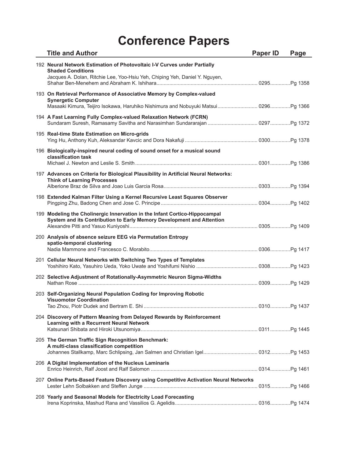| <b>Title and Author</b>                                                                                                                                                                   | <b>Paper ID</b> | Page |
|-------------------------------------------------------------------------------------------------------------------------------------------------------------------------------------------|-----------------|------|
| 192 Neural Network Estimation of Photovoltaic I-V Curves under Partially<br><b>Shaded Conditions</b><br>Jacques A. Dolan, Ritchie Lee, Yoo-Hsiu Yeh, Chiping Yeh, Daniel Y. Nguyen,       |                 |      |
| 193 On Retrieval Performance of Associative Memory by Complex-valued<br><b>Synergetic Computer</b><br>Masaaki Kimura, Teijiro Isokawa, Haruhiko Nishimura and Nobuyuki Matsui 0296Pg 1366 |                 |      |
| 194 A Fast Learning Fully Complex-valued Relaxation Network (FCRN)<br>Sundaram Suresh, Ramasamy Savitha and Narasimhan Sundararajan  0297 Pg 1372                                         |                 |      |
| 195 Real-time State Estimation on Micro-grids                                                                                                                                             |                 |      |
| 196 Biologically-inspired neural coding of sound onset for a musical sound<br>classification task                                                                                         |                 |      |
| 197 Advances on Criteria for Biological Plausibility in Artificial Neural Networks:<br><b>Think of Learning Processes</b>                                                                 |                 |      |
| 198 Extended Kalman Filter Using a Kernel Recursive Least Squares Observer                                                                                                                |                 |      |
| 199 Modeling the Cholinergic Innervation in the Infant Cortico-Hippocampal<br>System and its Contribution to Early Memory Development and Attention                                       |                 |      |
| 200 Analysis of absence seizure EEG via Permutation Entropy<br>spatio-temporal clustering                                                                                                 |                 |      |
| 201 Cellular Neural Networks with Switching Two Types of Templates                                                                                                                        |                 |      |
| 202 Selective Adjustment of Rotationally-Asymmetric Neuron Sigma-Widths                                                                                                                   |                 |      |
| 203 Self-Organizing Neural Population Coding for Improving Robotic<br><b>Visuomotor Coordination</b>                                                                                      |                 |      |
| 204 Discovery of Pattern Meaning from Delayed Rewards by Reinforcement<br>Learning with a Recurrent Neural Network                                                                        |                 |      |
| 205 The German Traffic Sign Recognition Benchmark:<br>A multi-class classification competition                                                                                            |                 |      |
| 206 A Digital Implementation of the Nucleus Laminaris                                                                                                                                     |                 |      |
| 207 Online Parts-Based Feature Discovery using Competitive Activation Neural Networks                                                                                                     |                 |      |
| 208 Yearly and Seasonal Models for Electricity Load Forecasting                                                                                                                           |                 |      |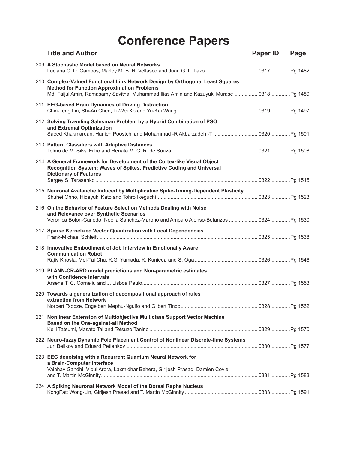| <b>Title and Author</b>                                                                                                                                                                                                      | <b>Paper ID</b> | Page |
|------------------------------------------------------------------------------------------------------------------------------------------------------------------------------------------------------------------------------|-----------------|------|
| 209 A Stochastic Model based on Neural Networks<br>Luciana C. D. Campos, Marley M. B. R. Vellasco and Juan G. L. Lazo 0317 Pg 1482                                                                                           |                 |      |
| 210 Complex-Valued Functional Link Network Design by Orthogonal Least Squares<br><b>Method for Function Approximation Problems</b><br>Md. Faijul Amin, Ramasamy Savitha, Muhammad Ilias Amin and Kazuyuki Murase 0318Pg 1489 |                 |      |
| 211 EEG-based Brain Dynamics of Driving Distraction                                                                                                                                                                          |                 |      |
| 212 Solving Traveling Salesman Problem by a Hybrid Combination of PSO<br>and Extremal Optimization                                                                                                                           |                 |      |
| 213 Pattern Classifiers with Adaptive Distances                                                                                                                                                                              |                 |      |
| 214 A General Framework for Development of the Cortex-like Visual Object<br>Recognition System: Waves of Spikes, Predictive Coding and Universal<br><b>Dictionary of Features</b>                                            |                 |      |
| 215 Neuronal Avalanche Induced by Multiplicative Spike-Timing-Dependent Plasticity                                                                                                                                           |                 |      |
| 216 On the Behavior of Feature Selection Methods Dealing with Noise<br>and Relevance over Synthetic Scenarios<br>Veronica Bolon-Canedo, Noelia Sanchez-Marono and Amparo Alonso-Betanzos  0324 Pq 1530                       |                 |      |
| 217 Sparse Kernelized Vector Quantization with Local Dependencies                                                                                                                                                            |                 |      |
| 218 Innovative Embodiment of Job Interview in Emotionally Aware<br><b>Communication Robot</b>                                                                                                                                |                 |      |
| 219 PLANN-CR-ARD model predictions and Non-parametric estimates<br>with Confidence Intervals                                                                                                                                 |                 |      |
| 220 Towards a generalization of decompositional approach of rules<br>extraction from Network                                                                                                                                 |                 |      |
| 221 Nonlinear Extension of Multiobjective Multiclass Support Vector Machine<br><b>Based on the One-against-all Method</b>                                                                                                    |                 |      |
| 222 Neuro-fuzzy Dynamic Pole Placement Control of Nonlinear Discrete-time Systems                                                                                                                                            |                 |      |
| 223 EEG denoising with a Recurrent Quantum Neural Network for<br>a Brain-Computer Interface<br>Vaibhav Gandhi, Vipul Arora, Laxmidhar Behera, Girijesh Prasad, Damien Coyle                                                  |                 |      |
| 224 A Spiking Neuronal Network Model of the Dorsal Raphe Nucleus                                                                                                                                                             |                 |      |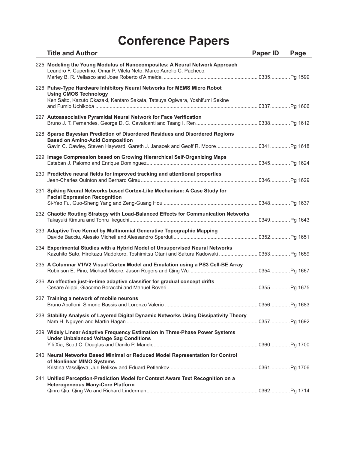| <b>Title and Author</b>                                                                                                                                                                                     | <b>Paper ID</b> | Page |
|-------------------------------------------------------------------------------------------------------------------------------------------------------------------------------------------------------------|-----------------|------|
| 225 Modeling the Young Modulus of Nanocomposites: A Neural Network Approach<br>Leandro F. Cupertino, Omar P. Vilela Neto, Marco Aurelio C. Pacheco,                                                         |                 |      |
| 226 Pulse-Type Hardware Inhibitory Neural Networks for MEMS Micro Robot<br><b>Using CMOS Technology</b><br>Ken Saito, Kazuto Okazaki, Kentaro Sakata, Tatsuya Ogiwara, Yoshifumi Sekine                     |                 |      |
| 227 Autoassociative Pyramidal Neural Network for Face Verification                                                                                                                                          |                 |      |
| 228 Sparse Bayesian Prediction of Disordered Residues and Disordered Regions<br><b>Based on Amino-Acid Composition</b><br>Gavin C. Cawley, Steven Hayward, Gareth J. Janacek and Geoff R. Moore 0341Pg 1618 |                 |      |
| 229 Image Compression based on Growing Hierarchical Self-Organizing Maps                                                                                                                                    |                 |      |
| 230 Predictive neural fields for improved tracking and attentional properties                                                                                                                               |                 |      |
| 231 Spiking Neural Networks based Cortex-Like Mechanism: A Case Study for<br><b>Facial Expression Recognition</b>                                                                                           |                 |      |
| 232 Chaotic Routing Strategy with Load-Balanced Effects for Communication Networks                                                                                                                          |                 |      |
| 233 Adaptive Tree Kernel by Multinomial Generative Topographic Mapping                                                                                                                                      |                 |      |
| 234 Experimental Studies with a Hybrid Model of Unsupervised Neural Networks                                                                                                                                |                 |      |
| 235 A Columnar V1/V2 Visual Cortex Model and Emulation using a PS3 Cell-BE Array                                                                                                                            |                 |      |
| 236 An effective just-in-time adaptive classifier for gradual concept drifts                                                                                                                                |                 |      |
| 237 Training a network of mobile neurons                                                                                                                                                                    |                 |      |
| 238 Stability Analysis of Layered Digital Dynamic Networks Using Dissipativity Theory                                                                                                                       |                 |      |
| 239 Widely Linear Adaptive Frequency Estimation In Three-Phase Power Systems<br><b>Under Unbalanced Voltage Sag Conditions</b>                                                                              |                 |      |
| 240 Neural Networks Based Minimal or Reduced Model Representation for Control<br>of Nonlinear MIMO Systems                                                                                                  |                 |      |
| 241 Unified Perception-Prediction Model for Context Aware Text Recognition on a<br><b>Heterogeneous Many-Core Platform</b>                                                                                  |                 |      |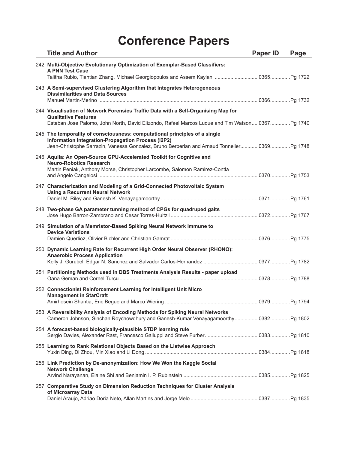| <b>Title and Author</b>                                                                                                                                                                                                          | Paper ID | Page |
|----------------------------------------------------------------------------------------------------------------------------------------------------------------------------------------------------------------------------------|----------|------|
| 242 Multi-Objective Evolutionary Optimization of Exemplar-Based Classifiers:<br><b>A PNN Test Case</b>                                                                                                                           |          |      |
| Talitha Rubio, Tiantian Zhang, Michael Georgiopoulos and Assem Kaylani  0365Pg 1722                                                                                                                                              |          |      |
| 243 A Semi-supervised Clustering Algorithm that Integrates Heterogeneous<br><b>Dissimilarities and Data Sources</b>                                                                                                              |          |      |
| 244 Visualisation of Network Forensics Traffic Data with a Self-Organising Map for<br><b>Qualitative Features</b><br>Esteban Jose Palomo, John North, David Elizondo, Rafael Marcos Luque and Tim Watson 0367Pg 1740             |          |      |
| 245 The temporality of consciousness: computational principles of a single<br>Information Integration-Propagation Process (I2P2)<br>Jean-Christophe Sarrazin, Vanessa Gonzalez, Bruno Berberian and Arnaud Tonnelier 0369Pg 1748 |          |      |
| 246 Aquila: An Open-Source GPU-Accelerated Toolkit for Cognitive and<br><b>Neuro-Robotics Research</b><br>Martin Peniak, Anthony Morse, Christopher Larcombe, Salomon Ramirez-Contla                                             |          |      |
| 247 Characterization and Modeling of a Grid-Connected Photovoltaic System<br><b>Using a Recurrent Neural Network</b>                                                                                                             |          |      |
| 248 Two-phase GA parameter tunning method of CPGs for quadruped gaits                                                                                                                                                            |          |      |
| 249 Simulation of a Memristor-Based Spiking Neural Network Immune to<br><b>Device Variations</b>                                                                                                                                 |          |      |
| 250 Dynamic Learning Rate for Recurrent High Order Neural Observer (RHONO):<br><b>Anaerobic Process Application</b>                                                                                                              |          |      |
| 251 Partitioning Methods used in DBS Treatments Analysis Results - paper upload                                                                                                                                                  |          |      |
| 252 Connectionist Reinforcement Learning for Intelligent Unit Micro<br><b>Management in StarCraft</b>                                                                                                                            |          |      |
| 253 A Reversibility Analysis of Encoding Methods for Spiking Neural Networks<br>Cameron Johnson, Sinchan Roychowdhury and Ganesh-Kumar Venayagamoorthy 0382Pg 1802                                                               |          |      |
| 254 A forecast-based biologically-plausible STDP learning rule                                                                                                                                                                   |          |      |
| 255 Learning to Rank Relational Objects Based on the Listwise Approach                                                                                                                                                           |          |      |
| 256 Link Prediction by De-anonymization: How We Won the Kaggle Social<br><b>Network Challenge</b>                                                                                                                                |          |      |
| 257 Comparative Study on Dimension Reduction Techniques for Cluster Analysis<br>of Microarray Data                                                                                                                               |          |      |
|                                                                                                                                                                                                                                  |          |      |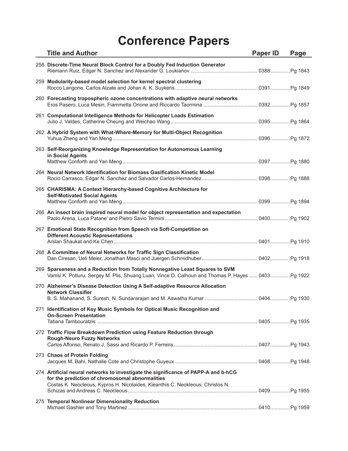| <b>Title and Author</b>                                                                                                                                                                                                 | <b>Paper ID</b> | Page |
|-------------------------------------------------------------------------------------------------------------------------------------------------------------------------------------------------------------------------|-----------------|------|
| 258 Discrete-Time Neural Block Control for a Doubly Fed Induction Generator                                                                                                                                             |                 |      |
| 259 Modularity-based model selection for kernel spectral clustering                                                                                                                                                     |                 |      |
| 260 Forecasting tropospheric ozone concentrations with adaptive neural networks<br>Eros Pasero, Luca Mesin, Fiammetta Orione and Riccardo Taormina  0392Pg 1857                                                         |                 |      |
| 261 Computational Intelligence Methods for Helicopter Loads Estimation                                                                                                                                                  |                 |      |
| 262 A Hybrid System with What-Where-Memory for Multi-Object Recognition                                                                                                                                                 |                 |      |
| 263 Self-Reorganizing Knowledge Representation for Autonomous Learning<br>in Social Agents                                                                                                                              |                 |      |
| 264 Neural Network Identification for Biomass Gasification Kinetic Model                                                                                                                                                |                 |      |
| 265 CHARISMA: A Context Hierarchy-based Cognitive Architecture for<br><b>Self-Motivated Social Agents</b>                                                                                                               |                 |      |
| 266 An insect brain inspired neural model for object representation and expectation                                                                                                                                     |                 |      |
| 267 Emotional State Recognition from Speech via Soft-Competition on<br><b>Different Acoustic Representations</b>                                                                                                        |                 |      |
| 268 A Committee of Neural Networks for Traffic Sign Classification                                                                                                                                                      |                 |      |
| 269 Sparseness and a Reduction from Totally Nonnegative Least Squares to SVM<br>Vamsi K. Potluru, Sergey M. Plis, Shuang Luan, Vince D. Calhoun and Thomas P. Hayes  0403Pg 1922                                        |                 |      |
| 270 Alzheimer's Disease Detection Using A Self-adaptive Resource Allocation<br><b>Network Classifier</b>                                                                                                                |                 |      |
| 271 Identification of Key Music Symbols for Optical Music Recognition and<br><b>On-Screen Presentation</b>                                                                                                              |                 |      |
|                                                                                                                                                                                                                         |                 |      |
| 272 Traffic Flow Breakdown Prediction using Feature Reduction through<br><b>Rough-Neuro Fuzzy Networks</b>                                                                                                              |                 |      |
| 273 Chaos of Protein Folding                                                                                                                                                                                            |                 |      |
| 274 Artificial neural networks to investigate the significance of PAPP-A and b-hCG<br>for the prediction of chromosomal abnormalities<br>Costas K. Neocleous, Kypros H. Nicolaides, Kleanthis C. Neokleous, Christos N. |                 |      |
| 275 Temporal Nonlinear Dimensionality Reduction                                                                                                                                                                         |                 |      |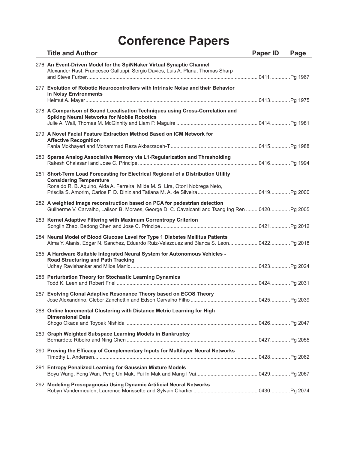| <b>Title and Author</b>                                                                                                                                                                              | <b>Paper ID</b> | Page |
|------------------------------------------------------------------------------------------------------------------------------------------------------------------------------------------------------|-----------------|------|
| 276 An Event-Driven Model for the SpiNNaker Virtual Synaptic Channel<br>Alexander Rast, Francesco Galluppi, Sergio Davies, Luis A. Plana, Thomas Sharp                                               |                 |      |
| 277 Evolution of Robotic Neurocontrollers with Intrinsic Noise and their Behavior<br>in Noisy Environments                                                                                           |                 |      |
| 278 A Comparison of Sound Localisation Techniques using Cross-Correlation and<br><b>Spiking Neural Networks for Mobile Robotics</b>                                                                  |                 |      |
| 279 A Novel Facial Feature Extraction Method Based on ICM Network for<br><b>Affective Recognition</b>                                                                                                |                 |      |
| 280 Sparse Analog Associative Memory via L1-Regularization and Thresholding                                                                                                                          |                 |      |
| 281 Short-Term Load Forecasting for Electrical Regional of a Distribution Utility<br><b>Considering Temperature</b><br>Ronaldo R. B. Aquino, Aida A. Ferreira, Milde M. S. Lira, Otoni Nobrega Neto, |                 |      |
| 282 A weighted image reconstruction based on PCA for pedestrian detection<br>Guilherme V. Carvalho, Lailson B. Moraes, George D. C. Cavalcanti and Tsang Ing Ren  0420Pg 2005                        |                 |      |
| 283 Kernel Adaptive Filtering with Maximum Correntropy Criterion                                                                                                                                     |                 |      |
| 284 Neural Model of Blood Glucose Level for Type 1 Diabetes Mellitus Patients<br>Alma Y. Alanis, Edgar N. Sanchez, Eduardo Ruiz-Velazquez and Blanca S. Leon 0422Pg 2018                             |                 |      |
| 285 A Hardware Suitable Integrated Neural System for Autonomous Vehicles -<br><b>Road Structuring and Path Tracking</b>                                                                              |                 |      |
| 286 Perturbation Theory for Stochastic Learning Dynamics                                                                                                                                             |                 |      |
| 287 Evolving Clonal Adaptive Resonance Theory based on ECOS Theory                                                                                                                                   |                 |      |
| 288 Online Incremental Clustering with Distance Metric Learning for High<br><b>Dimensional Data</b>                                                                                                  |                 |      |
| 289 Graph Weighted Subspace Learning Models in Bankruptcy                                                                                                                                            |                 |      |
| 290 Proving the Efficacy of Complementary Inputs for Multilayer Neural Networks                                                                                                                      |                 |      |
| 291 Entropy Penalized Learning for Gaussian Mixture Models                                                                                                                                           |                 |      |
| 292 Modeling Prosopagnosia Using Dynamic Artificial Neural Networks                                                                                                                                  |                 |      |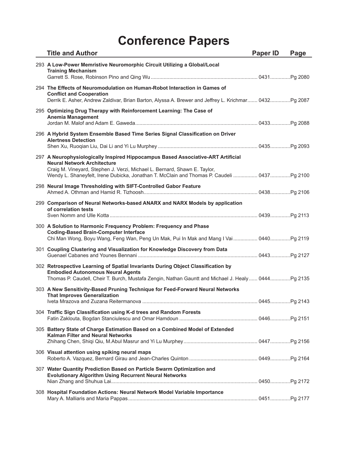| <b>Title and Author</b>                                                                                                                                                                                                                                                                           | Paper ID | Page |
|---------------------------------------------------------------------------------------------------------------------------------------------------------------------------------------------------------------------------------------------------------------------------------------------------|----------|------|
| 293 A Low-Power Memristive Neuromorphic Circuit Utilizing a Global/Local<br><b>Training Mechanism</b>                                                                                                                                                                                             |          |      |
| 294 The Effects of Neuromodulation on Human-Robot Interaction in Games of<br><b>Conflict and Cooperation</b><br>Derrik E. Asher, Andrew Zaldivar, Brian Barton, Alyssa A. Brewer and Jeffrey L. Krichmar 0432Pg 2087                                                                              |          |      |
| 295 Optimizing Drug Therapy with Reinforcement Learning: The Case of<br><b>Anemia Management</b>                                                                                                                                                                                                  |          |      |
| 296 A Hybrid System Ensemble Based Time Series Signal Classification on Driver<br><b>Alertness Detection</b>                                                                                                                                                                                      |          |      |
| 297 A Neurophysiologically Inspired Hippocampus Based Associative-ART Artificial<br><b>Neural Network Architecture</b><br>Craig M. Vineyard, Stephen J. Verzi, Michael L. Bernard, Shawn E. Taylor,<br>Wendy L. Shaneyfelt, Irene Dubicka, Jonathan T. McClain and Thomas P. Caudeli  0437Pg 2100 |          |      |
| 298 Neural Image Thresholding with SIFT-Controlled Gabor Feature                                                                                                                                                                                                                                  |          |      |
| 299 Comparison of Neural Networks-based ANARX and NARX Models by application<br>of correlation tests                                                                                                                                                                                              |          |      |
| 300 A Solution to Harmonic Frequency Problem: Frequency and Phase<br><b>Coding-Based Brain-Computer Interface</b><br>Chi Man Wong, Boyu Wang, Feng Wan, Peng Un Mak, Pui In Mak and Mang I Vai  0440Pg 2119                                                                                       |          |      |
| 301 Coupling Clustering and Visualization for Knowledge Discovery from Data                                                                                                                                                                                                                       |          |      |
| 302 Retrospective Learning of Spatial Invariants During Object Classification by<br><b>Embodied Autonomous Neural Agents</b><br>Thomas P. Caudell, Cheir T. Burch, Mustafa Zengin, Nathan Gauntt and Michael J. Healy  0444Pg 2135                                                                |          |      |
| 303 A New Sensitivity-Based Pruning Technique for Feed-Forward Neural Networks<br><b>That Improves Generalization</b>                                                                                                                                                                             |          |      |
| 304 Traffic Sign Classification using K-d trees and Random Forests                                                                                                                                                                                                                                |          |      |
| 305 Battery State of Charge Estimation Based on a Combined Model of Extended<br><b>Kalman Filter and Neural Networks</b>                                                                                                                                                                          |          |      |
| 306 Visual attention using spiking neural maps                                                                                                                                                                                                                                                    |          |      |
| 307 Water Quantity Prediction Based on Particle Swarm Optimization and<br><b>Evolutionary Algorithm Using Recurrent Neural Networks</b>                                                                                                                                                           |          |      |
| 308 Hospital Foundation Actions: Neural Network Model Variable Importance                                                                                                                                                                                                                         |          |      |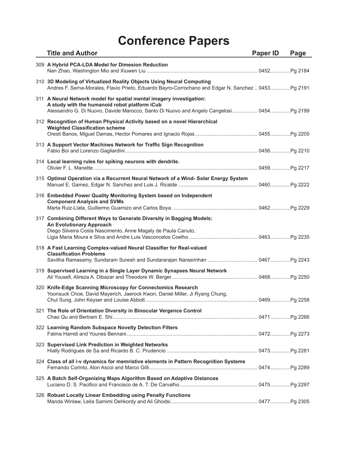| <b>Title and Author</b>                                                                                                                                                                                          | Paper ID | Page |
|------------------------------------------------------------------------------------------------------------------------------------------------------------------------------------------------------------------|----------|------|
| 309 A Hybrid PCA-LDA Model for Dimesion Reduction                                                                                                                                                                |          |      |
| 310 3D Modeling of Virtualized Reality Objects Using Neural Computing<br>Andres F. Serna-Morales, Flavio Prieto, Eduardo Bayro-Corrochano and Edgar N. Sanchez  0453Pg 2191                                      |          |      |
| 311 A Neural Network model for spatial mental imagery investigation:<br>A study with the humanoid robot platform iCub<br>Alessandro G. Di Nuovo, Davide Marocco, Santo Di Nuovo and Angelo Cangelosi 0454Pg 2199 |          |      |
| 312 Recognition of Human Physical Activity based on a novel Hierarchical<br><b>Weighted Classification scheme</b>                                                                                                |          |      |
| 313 A Support Vector Machines Network for Traffic Sign Recognition                                                                                                                                               |          |      |
| 314 Local learning rules for spiking neurons with dendrite.                                                                                                                                                      |          |      |
| 315 Optimal Operation via a Recurrent Neural Network of a Wind-Solar Energy System                                                                                                                               |          |      |
| 316 Embedded Power Quality Monitoring System based on Independent<br><b>Component Analysis and SVMs</b>                                                                                                          |          |      |
| 317 Combining Different Ways to Generate Diversity in Bagging Models:<br><b>An Evolutionary Approach</b><br>Diego Silveira Costa Nascimento, Anne Magaly de Paula Canuto,                                        |          |      |
| 318 A Fast Learning Complex-valued Neural Classifier for Real-valued<br><b>Classification Problems</b><br>Savitha Ramasamy, Sundaram Suresh and Sundararajan Narasimhan  0467Pg 2243                             |          |      |
| 319 Supervised Learning in a Single Layer Dynamic Synapses Neural Network                                                                                                                                        |          |      |
| 320 Knife-Edge Scanning Microscopy for Connectomics Research<br>Yoonsuck Choe, David Mayerich, Jaerock Kwon, Daniel Miller, Ji Ryang Chung,                                                                      |          |      |
| 321 The Role of Orientation Diversity in Binocular Vergence Control                                                                                                                                              |          |      |
| 322 Learning Random Subspace Novelty Detection Filters                                                                                                                                                           |          |      |
| 323 Supervised Link Prediction in Weighted Networks                                                                                                                                                              |          |      |
| 324 Class of all i-v dynamics for memristive elements in Pattern Recognition Systems                                                                                                                             |          |      |
| 325 A Batch Self-Organizing Maps Algorithm Based on Adaptive Distances                                                                                                                                           |          |      |
| 326 Robust Locally Linear Embedding using Penalty Functions                                                                                                                                                      |          |      |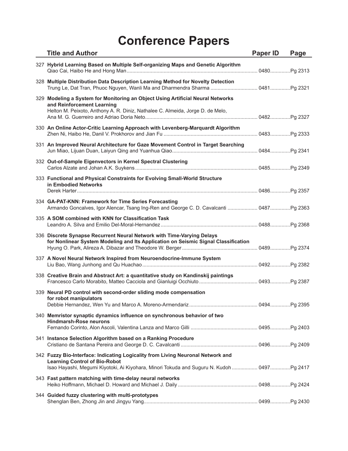| <b>Title and Author</b>                                                                                                                                                                                                 | <b>Paper ID</b> | Page |
|-------------------------------------------------------------------------------------------------------------------------------------------------------------------------------------------------------------------------|-----------------|------|
| 327 Hybrid Learning Based on Multiple Self-organizing Maps and Genetic Algorithm                                                                                                                                        |                 |      |
| 328 Multiple Distribution Data Description Learning Method for Novelty Detection<br>Trung Le, Dat Tran, Phuoc Nguyen, Wanli Ma and Dharmendra Sharma  0481Pg 2321                                                       |                 |      |
| 329 Modeling a System for Monitoring an Object Using Artificial Neural Networks<br>and Reinforcement Learning<br>Helton M. Peixoto, Anthony A. R. Diniz, Nathalee C. Almeida, Jorge D. de Melo,                         |                 |      |
| 330 An Online Actor-Critic Learning Approach with Levenberg-Marquardt Algorithm                                                                                                                                         |                 |      |
| 331 An Improved Neural Architecture for Gaze Movement Control in Target Searching                                                                                                                                       |                 |      |
| 332 Out-of-Sample Eigenvectors in Kernel Spectral Clustering                                                                                                                                                            |                 |      |
| 333 Functional and Physical Constraints for Evolving Small-World Structure<br>in Embodied Networks                                                                                                                      |                 |      |
| 334 GA-PAT-KNN: Framework for Time Series Forecasting<br>Armando Goncalves, Igor Alencar, Tsang Ing-Ren and George C. D. Cavalcanti  0487Pg 2363                                                                        |                 |      |
| 335 A SOM combined with KNN for Classification Task                                                                                                                                                                     |                 |      |
| 336 Discrete Synapse Recurrent Neural Network with Time-Varying Delays<br>for Nonlinear System Modeling and Its Application on Seismic Signal Classification                                                            |                 |      |
| 337 A Novel Neural Network Inspired from Neuroendocrine-Immune System                                                                                                                                                   |                 |      |
| 338 Creative Brain and Abstract Art: a quantitative study on Kandinskij paintings                                                                                                                                       |                 |      |
| 339 Neural PD control with second-order sliding mode compensation<br>for robot manipulators                                                                                                                             |                 |      |
| 340 Memristor synaptic dynamics influence on synchronous behavior of two<br><b>Hindmarsh-Rose neurons</b>                                                                                                               |                 |      |
| 341 Instance Selection Algorithm based on a Ranking Procedure                                                                                                                                                           |                 |      |
| 342 Fuzzy Bio-Interface: Indicating Logicality from Living Neuronal Network and<br><b>Learning Control of Bio-Robot</b><br>Isao Hayashi, Megumi Kiyotoki, Ai Kiyohara, Minori Tokuda and Suguru N. Kudoh  0497  Pg 2417 |                 |      |
| 343 Fast pattern matching with time-delay neural networks                                                                                                                                                               |                 |      |
| 344 Guided fuzzy clustering with multi-prototypes                                                                                                                                                                       |                 |      |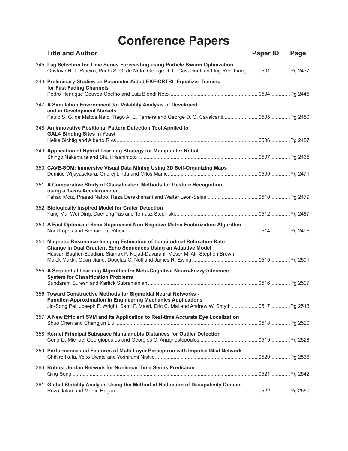| <b>Title and Author</b>                                                                                                                                                                                                               | Paper ID | Page |
|---------------------------------------------------------------------------------------------------------------------------------------------------------------------------------------------------------------------------------------|----------|------|
| 345 Lag Selection for Time Series Forecasting using Particle Swarm Optmization<br>Gustavo H. T. Ribeiro, Paulo S. G. de Neto, George D. C. Cavalcanti and Ing Ren Tsang  0501Pg 2437                                                  |          |      |
| 346 Preliminary Studies on Parameter Aided EKF-CRTRL Equalizer Training<br>for Fast Fading Channels                                                                                                                                   |          |      |
| 347 A Simulation Environment for Volatility Analysis of Developed<br>and in Development Markets                                                                                                                                       |          |      |
| 348 An Innovative Positional Pattern Detection Tool Applied to<br><b>GAL4 Binding Sites in Yeast</b>                                                                                                                                  |          |      |
| 349 Application of Hybrid Learning Strategy for Manipulator Robot                                                                                                                                                                     |          |      |
| 350 CAVE-SOM: Immersive Visual Data Mining Using 3D Self-Organizing Maps                                                                                                                                                              |          |      |
| 351 A Comparative Study of Classification Methods for Gesture Recognition<br>using a 3-axis Accelerometer                                                                                                                             |          |      |
| 352 Biologically Inspired Model for Crater Detection                                                                                                                                                                                  |          |      |
| 353 A Fast Optimized Semi-Supervised Non-Negative Matrix Factorization Algorithm                                                                                                                                                      |          |      |
| 354 Magnetic Resonance Imaging Estimation of Longitudinal Relaxation Rate<br>Change in Dual Gradient Echo Sequences Using an Adaptive Model<br>Hassan Bagher-Ebadian, Siamak P. Nejad-Davarani, Meser M. Ali, Stephen Brown,          |          |      |
| 355 A Sequential Learning Algorithm for Meta-Cognitive Neuro-Fuzzy Inference<br><b>System for Classification Problems</b>                                                                                                             |          |      |
| 356 Toward Constructive Methods for Sigmoidal Neural Networks -<br><b>Function Approximation in Engineering Mechanics Applications</b><br>Jin-Song Pei, Joseph P. Wright, Sami F. Masri, Eric C. Mai and Andrew W. Smyth  0517Pg 2513 |          |      |
| 357 A New Efficient SVM and Its Application to Real-time Accurate Eye Localization                                                                                                                                                    |          |      |
| 358 Kernel Principal Subspace Mahalanobis Distances for Outlier Detection                                                                                                                                                             |          |      |
| 359 Performance and Features of Multi-Layer Perceptron with Impulse Glial Network                                                                                                                                                     |          |      |
| 360 Robust Jordan Network for Nonlinear Time Series Prediction                                                                                                                                                                        |          |      |
| 361 Global Stability Analysis Using the Method of Reduction of Dissipativity Domain                                                                                                                                                   |          |      |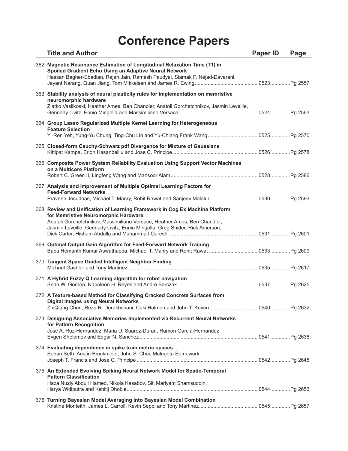| <b>Title and Author</b>                                                                                                                                                                                                                                                         | <b>Paper ID</b> | Page |
|---------------------------------------------------------------------------------------------------------------------------------------------------------------------------------------------------------------------------------------------------------------------------------|-----------------|------|
| 362 Magnetic Resonance Estimation of Longitudinal Relaxation Time (T1) in<br>Spoiled Gradient Echo Using an Adaptive Neural Network<br>Hassan Bagher-Ebadian, Rajan Jain, Ramesh Paudyal, Siamak P. Nejad-Davarani,                                                             |                 |      |
| 363 Stability analysis of neural plasticity rules for implementation on memristive<br>neuromorphic hardware<br>Zlatko Vasilkoski, Heather Ames, Ben Chandler, Anatoli Gorchetchnikov, Jasmin Leveille,                                                                          |                 |      |
| 364 Group Lasso Regularized Multiple Kernel Learning for Heterogeneous<br><b>Feature Selection</b>                                                                                                                                                                              |                 |      |
| 365 Closed-form Cauchy-Schwarz pdf Divergence for Mixture of Gaussians                                                                                                                                                                                                          |                 |      |
| 366 Composite Power System Reliability Evaluation Using Support Vector Machines<br>on a Multicore Platform                                                                                                                                                                      |                 |      |
| 367 Analysis and Improvement of Multiple Optimal Learning Factors for<br><b>Feed-Forward Networks</b>                                                                                                                                                                           |                 |      |
| 368 Review and Unification of Learning Framework in Cog Ex Machina Platform<br>for Memristive Neuromorphic Hardware<br>Anatoli Gorchetchnikov, Massimiliano Versace, Heather Ames, Ben Chandler,<br>Jasmin Leveille, Gennady Livitz, Ennio Mingolla, Greg Snider, Rick Amerson, |                 |      |
| 369 Optimal Output Gain Algorithm for Feed-Forward Network Training                                                                                                                                                                                                             |                 |      |
| 370 Tangent Space Guided Intelligent Neighbor Finding                                                                                                                                                                                                                           |                 |      |
| 371 A Hybrid Fuzzy Q Learning algorithm for robot navigation                                                                                                                                                                                                                    |                 |      |
| 372 A Texture-based Method for Classifying Cracked Concrete Surfaces from<br><b>Digital Images using Neural Networks</b>                                                                                                                                                        |                 |      |
| 373 Designing Associative Memories Implemented via Recurrent Neural Networks<br>for Pattern Recognition<br>Jose A. Ruz-Hernandez, Maria U. Suarez-Duran, Ramon Garcia-Hernandez,                                                                                                |                 |      |
| 374 Evaluating dependence in spike train metric spaces<br>Sohan Seth, Austin Brockmeier, John S. Choi, Mulugeta Semework,                                                                                                                                                       |                 |      |
| 375 An Extended Evolving Spiking Neural Network Model for Spatio-Temporal<br><b>Pattern Classification</b><br>Haza Nuzly Abdull Hamed, Nikola Kasabov, Siti Mariyam Shamsuddin,                                                                                                 |                 |      |
| 376 Turning Bayesian Model Averaging Into Bayesian Model Combination                                                                                                                                                                                                            |                 |      |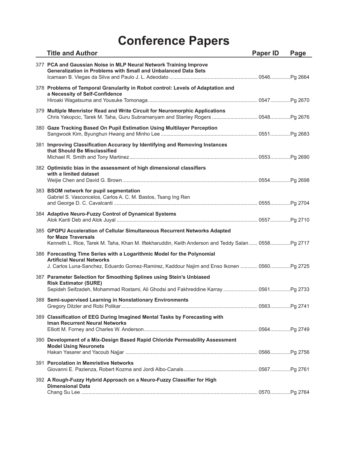| <b>Title and Author</b>                                                                                                                                                                                   | <b>Paper ID</b> | Page |
|-----------------------------------------------------------------------------------------------------------------------------------------------------------------------------------------------------------|-----------------|------|
| 377 PCA and Gaussian Noise in MLP Neural Network Training Improve<br><b>Generalization in Problems with Small and Unbalanced Data Sets</b>                                                                |                 |      |
| 378 Problems of Temporal Granularity in Robot control: Levels of Adaptation and<br>a Necessity of Self-Confidence                                                                                         |                 |      |
| 379 Multiple Memristor Read and Write Circuit for Neuromorphic Applications<br>Chris Yakopcic, Tarek M. Taha, Guru Subramanyam and Stanley Rogers  0548 Pg 2676                                           |                 |      |
| 380 Gaze Tracking Based On Pupil Estimation Using Multilayer Perception                                                                                                                                   |                 |      |
| 381 Improving Classification Accuracy by Identifying and Removing Instances<br>that Should Be Misclassified                                                                                               |                 |      |
| 382 Optimistic bias in the assessment of high dimensional classifiers<br>with a limited dataset                                                                                                           |                 |      |
| 383 BSOM network for pupil segmentation<br>Gabriel S. Vasconcelos, Carlos A. C. M. Bastos, Tsang Ing Ren                                                                                                  |                 |      |
| 384 Adaptive Neuro-Fuzzy Control of Dynamical Systems                                                                                                                                                     |                 |      |
| 385 GPGPU Acceleration of Cellular Simultaneous Recurrent Networks Adapted<br>for Maze Traversals<br>Kenneth L. Rice, Tarek M. Taha, Khan M. Iftekharuddin, Keith Anderson and Teddy Salan 0558Pg 2717    |                 |      |
| 386 Forecasting Time Series with a Logarithmic Model for the Polynomial<br><b>Artificial Neural Networks</b><br>J. Carlos Luna-Sanchez, Eduardo Gomez-Ramirez, Kaddour Najim and Enso Ikonen  0560Pg 2725 |                 |      |
| 387 Parameter Selection for Smoothing Splines using Stein's Unbiased<br><b>Risk Estimator (SURE)</b><br>Sepideh Seifzadeh, Mohammad Rostami, Ali Ghodsi and Fakhreddine Karray  0561Pg 2733               |                 |      |
| 388 Semi-supervised Learning in Nonstationary Environments                                                                                                                                                |                 |      |
| 389 Classification of EEG During Imagined Mental Tasks by Forecasting with<br><b>Iman Recurrent Neural Networks</b>                                                                                       |                 |      |
| 390 Development of a Mix-Design Based Rapid Chloride Permeability Assessment<br><b>Model Using Neuronets</b>                                                                                              |                 |      |
| 391 Percolation in Memristive Networks                                                                                                                                                                    |                 |      |
| 392 A Rough-Fuzzy Hybrid Approach on a Neuro-Fuzzy Classifier for High<br><b>Dimensional Data</b>                                                                                                         |                 |      |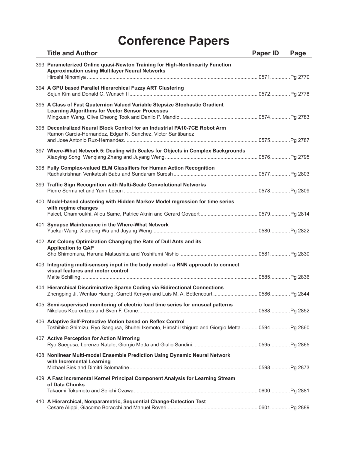| <b>Title and Author</b>                                                                                                                                           | Paper ID | Page |
|-------------------------------------------------------------------------------------------------------------------------------------------------------------------|----------|------|
| 393 Parameterized Online quasi-Newton Training for High-Nonlinearity Function<br><b>Approximation using Multilayer Neural Networks</b>                            |          |      |
| 394 A GPU based Parallel Hierarchical Fuzzy ART Clustering                                                                                                        |          |      |
| 395 A Class of Fast Quaternion Valued Variable Stepsize Stochastic Gradient<br><b>Learning Algorithms for Vector Sensor Processes</b>                             |          |      |
| 396 Decentralized Neural Block Control for an Industrial PA10-7CE Robot Arm<br>Ramon Garcia-Hernandez, Edgar N. Sanchez, Victor Santibanez                        |          |      |
| 397 Where-What Network 5: Dealing with Scales for Objects in Complex Backgrounds                                                                                  |          |      |
| 398 Fully Complex-valued ELM Classifiers for Human Action Recognition                                                                                             |          |      |
| 399 Traffic Sign Recognition with Multi-Scale Convolutional Networks                                                                                              |          |      |
| 400 Model-based clustering with Hidden Markov Model regression for time series<br>with regime changes                                                             |          |      |
| 401 Synapse Maintenance in the Where-What Network                                                                                                                 |          |      |
| 402 Ant Colony Optimization Changing the Rate of Dull Ants and its<br><b>Application to QAP</b>                                                                   |          |      |
| 403 Integrating multi-sensory input in the body model - a RNN approach to connect<br>visual features and motor control                                            |          |      |
| 404 Hierarchical Discriminative Sparse Coding via Bidirectional Connections<br>Zhengping Ji, Wentao Huang, Garrett Kenyon and Luis M. A. Bettencourt  0586Pg 2844 |          |      |
| 405 Semi-supervised monitoring of electric load time series for unusual patterns                                                                                  |          |      |
| 406 Adaptive Self-Protective Motion based on Reflex Control<br>Toshihiko Shimizu, Ryo Saegusa, Shuhei Ikemoto, Hiroshi Ishiguro and Giorgio Metta  0594Pg 2860    |          |      |
| 407 Active Perception for Action Mirroring                                                                                                                        |          |      |
| 408 Nonlinear Multi-model Ensemble Prediction Using Dynamic Neural Network<br>with Incremental Learning                                                           |          |      |
| 409 A Fast Incremental Kernel Principal Component Analysis for Learning Stream<br>of Data Chunks                                                                  |          |      |
| 410 A Hierarchical, Nonparametric, Sequential Change-Detection Test                                                                                               |          |      |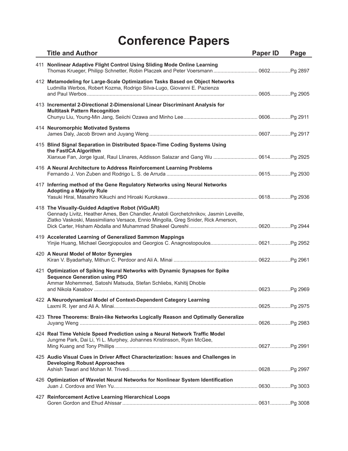| <b>Title and Author</b>                                                                                                                                                                                                      | <b>Paper ID</b> | Page |
|------------------------------------------------------------------------------------------------------------------------------------------------------------------------------------------------------------------------------|-----------------|------|
| 411 Nonlinear Adaptive Flight Control Using Sliding Mode Online Learning                                                                                                                                                     |                 |      |
| 412 Metamodeling for Large-Scale Optimization Tasks Based on Object Networks<br>Ludmilla Werbos, Robert Kozma, Rodrigo Silva-Lugo, Giovanni E. Pazienza                                                                      |                 |      |
| 413 Incremental 2-Directional 2-Dimensional Linear Discriminant Analysis for<br><b>Multitask Pattern Recognition</b>                                                                                                         |                 |      |
| 414 Neuromorphic Motivated Systems                                                                                                                                                                                           |                 |      |
| 415 Blind Signal Separation in Distributed Space-Time Coding Systems Using<br>the FastICA Algorithm<br>Xianxue Fan, Jorge Igual, Raul Llinares, Addisson Salazar and Gang Wu  0614Pg 2925                                    |                 |      |
| 416 A Neural Architecture to Address Reinforcement Learning Problems                                                                                                                                                         |                 |      |
| 417 Inferring method of the Gene Regulatory Networks using Neural Networks<br><b>Adopting a Majority Rule</b>                                                                                                                |                 |      |
| 418 The Visually-Guided Adaptive Robot (ViGuAR)<br>Gennady Livitz, Heather Ames, Ben Chandler, Anatoli Gorchetchnikov, Jasmin Leveille,<br>Zlatko Vaskoski, Massimiliano Versace, Ennio Mingolla, Greg Snider, Rick Amerson, |                 |      |
| 419 Accelerated Learning of Generalized Sammon Mappings<br>Yinjie Huang, Michael Georgiopoulos and Georgios C. Anagnostopoulos 0621 Pg 2952                                                                                  |                 |      |
| 420 A Neural Model of Motor Synergies                                                                                                                                                                                        |                 |      |
| 421 Optimization of Spiking Neural Networks with Dynamic Synapses for Spike<br><b>Sequence Generation using PSO</b><br>Ammar Mohemmed, Satoshi Matsuda, Stefan Schliebs, Kshitij Dhoble                                      |                 |      |
| 422 A Neurodynamical Model of Context-Dependent Category Learning                                                                                                                                                            |                 |      |
| 423 Three Theorems: Brain-like Networks Logically Reason and Optimally Generalize                                                                                                                                            |                 |      |
| 424 Real Time Vehicle Speed Prediction using a Neural Network Traffic Model<br>Jungme Park, Dai Li, Yi L. Murphey, Johannes Kristinsson, Ryan McGee,                                                                         |                 |      |
| 425 Audio Visual Cues in Driver Affect Characterization: Issues and Challenges in<br><b>Developing Robust Approaches</b>                                                                                                     |                 |      |
| 426 Optimization of Wavelet Neural Networks for Nonlinear System Identification                                                                                                                                              |                 |      |
| 427 Reinforcement Active Learning Hierarchical Loops                                                                                                                                                                         |                 |      |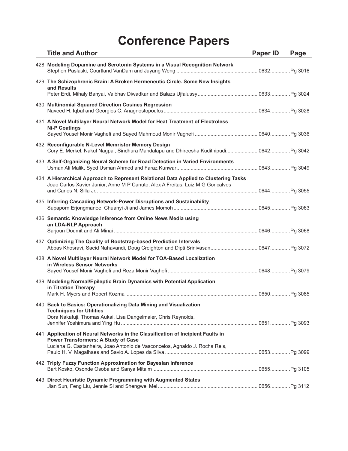| <b>Title and Author</b>                                                                                                                                                                                      | Paper ID | Page |
|--------------------------------------------------------------------------------------------------------------------------------------------------------------------------------------------------------------|----------|------|
| 428 Modeling Dopamine and Serotonin Systems in a Visual Recognition Network                                                                                                                                  |          |      |
| 429 The Schizophrenic Brain: A Broken Hermeneutic Circle. Some New Insights<br>and Results                                                                                                                   |          |      |
| 430 Multinomial Squared Direction Cosines Regression                                                                                                                                                         |          |      |
| 431 A Novel Multilayer Neural Network Model for Heat Treatment of Electroless<br><b>Ni-P Coatings</b>                                                                                                        |          |      |
| 432 Reconfigurable N-Level Memristor Memory Design<br>Cory E. Merkel, Nakul Nagpal, Sindhura Mandalapu and Dhireesha Kudithipudi 0642Pg 3042                                                                 |          |      |
| 433 A Self-Organizing Neural Scheme for Road Detection in Varied Environments                                                                                                                                |          |      |
| 434 A Hierarchical Approach to Represent Relational Data Applied to Clustering Tasks<br>Joao Carlos Xavier Junior, Anne M P Canuto, Alex A Freitas, Luiz M G Goncalves                                       |          |      |
| 435 Inferring Cascading Network-Power Disruptions and Sustainability                                                                                                                                         |          |      |
| 436 Semantic Knowledge Inference from Online News Media using<br>an LDA-NLP Approach                                                                                                                         |          |      |
| 437 Optimizing The Quality of Bootstrap-based Prediction Intervals<br>Abbas Khosravi, Saeid Nahavandi, Doug Creighton and Dipti Srinivasan 0647 Pg 3072                                                      |          |      |
| 438 A Novel Multilayer Neural Network Model for TOA-Based Localization<br>in Wireless Sensor Networks                                                                                                        |          |      |
| 439 Modeling Normal/Epileptic Brain Dynamics with Potential Application<br>in Titration Therapy                                                                                                              |          |      |
| 440 Back to Basics: Operationalizing Data Mining and Visualization<br><b>Techniques for Utilities</b><br>Dora Nakafuji, Thomas Aukai, Lisa Dangelmaier, Chris Reynolds,                                      |          |      |
| 441 Application of Neural Networks in the Classification of Incipient Faults in<br><b>Power Transformers: A Study of Case</b><br>Luciana G. Castanheira, Joao Antonio de Vasconcelos, Agnaldo J. Rocha Reis, |          |      |
| 442 Triply Fuzzy Function Approximation for Bayesian Inference                                                                                                                                               |          |      |
| 443 Direct Heuristic Dynamic Programming with Augmented States                                                                                                                                               |          |      |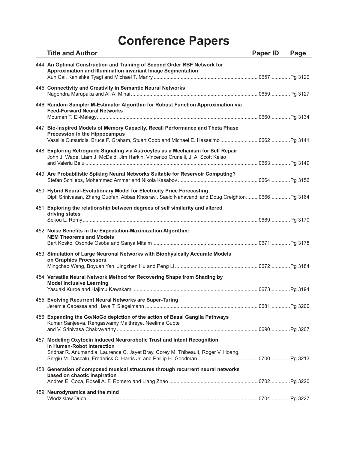| <b>Title and Author</b>                                                                                                                                                                    | <b>Paper ID</b> | Page |
|--------------------------------------------------------------------------------------------------------------------------------------------------------------------------------------------|-----------------|------|
| 444 An Optimal Construction and Training of Second Order RBF Network for<br>Approximation and Illumination invariant Image Segmentation                                                    |                 |      |
| 445 Connectivity and Creativity in Semantic Neural Networks                                                                                                                                |                 |      |
| 446 Random Sampler M-Estimator Algorithm for Robust Function Approximation via<br><b>Feed-Forward Neural Networks</b>                                                                      |                 |      |
| 447 Bio-inspired Models of Memory Capacity, Recall Performance and Theta Phase<br>Precession in the Hippocampus                                                                            |                 |      |
| 448 Exploring Retrograde Signaling via Astrocytes as a Mechanism for Self Repair<br>John J. Wade, Liam J. McDaid, Jim Harkin, Vincenzo Crunelli, J. A. Scott Kelso                         |                 |      |
| 449 Are Probabilistic Spiking Neural Networks Suitable for Reservoir Computing?                                                                                                            |                 |      |
| 450 Hybrid Neural-Evolutionary Model for Electricity Price Forecasting<br>Dipti Srinivasan, Zhang Guofan, Abbas Khosravi, Saeid Nahavandi and Doug Creighton 0666Pg 3164                   |                 |      |
| 451 Exploring the relationship between degrees of self similarity and altered<br>driving states                                                                                            |                 |      |
| 452 Noise Benefits in the Expectation-Maximization Algorithm:<br><b>NEM Theorems and Models</b>                                                                                            |                 |      |
| 453 Simulation of Large Neuronal Networks with Biophysically Accurate Models<br>on Graphics Processors                                                                                     |                 |      |
| 454 Versatile Neural Network Method for Recovering Shape from Shading by<br><b>Model Inclusive Learning</b>                                                                                |                 |      |
| 455 Evolving Recurrent Neural Networks are Super-Turing                                                                                                                                    |                 |      |
| 456 Expanding the Go/NoGo depiction of the action of Basal Ganglia Pathways<br>Kumar Sanjeeva, Rengaswamy Maithreye, Neelima Gupte                                                         |                 |      |
| 457 Modeling Oxytocin Induced Neurorobotic Trust and Intent Recognition<br>in Human-Robot Interaction<br>Sridhar R. Anumandla, Laurence C. Jayet Bray, Corey M. Thibeault, Roger V. Hoang, |                 |      |
| 458 Generation of composed musical structures through recurrent neural networks<br>based on chaotic inspiration                                                                            |                 |      |
| 459 Neurodynamics and the mind                                                                                                                                                             |                 |      |